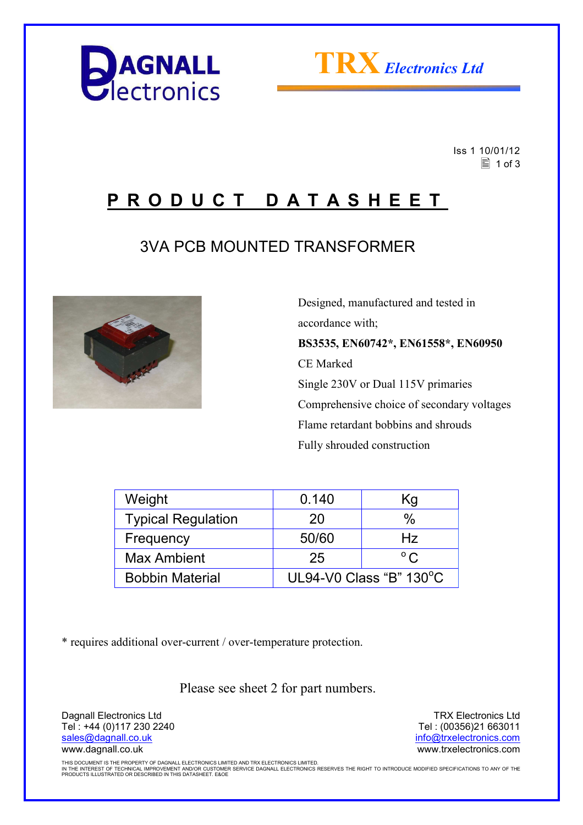



 Iss 1 10/01/12  $\equiv$  1 of 3

## **P R O D U C T D A T A S H E E T**

### 3VA PCB MOUNTED TRANSFORMER



 Designed, manufactured and tested in accordance with; **BS3535, EN60742\*, EN61558\*, EN60950**  CE Marked Single 230V or Dual 115V primaries Comprehensive choice of secondary voltages Flame retardant bobbins and shrouds Fully shrouded construction

| Weight                    | 0.140                   | Κg           |  |
|---------------------------|-------------------------|--------------|--|
| <b>Typical Regulation</b> | 20                      | $\%$         |  |
| Frequency                 | 50/60                   | Hz           |  |
| <b>Max Ambient</b>        | 25                      | $^{\circ}$ C |  |
| <b>Bobbin Material</b>    | UL94-V0 Class "B" 130°C |              |  |

\* requires additional over-current / over-temperature protection.

Please see sheet 2 for part numbers.

Dagnall Electronics Ltd Tel : +44 (0)117 230 2240 sales@dagnall.co.uk www.dagnall.co.uk

TRX Electronics Ltd Tel : (00356)21 663011 info@trxelectronics.com www.trxelectronics.com

THIS DOCUMENT IS THE PROPERTY OF DAGNALL ELECTRONICS LIMITED AND TRX ELECTRONICS LIMITED.<br>IN THE INTEREST OF TECHNICAL IMPROVEMENT AND/OR CUSTOMER SERVICE DAGNALL ELECTRONICS RESERVES THE RIGHT TO INTRODUCE MODIFIED SPECIF PRODUCTS ILLUSTRATED OR DESCRIBED IN THIS DATASHEET. E&OE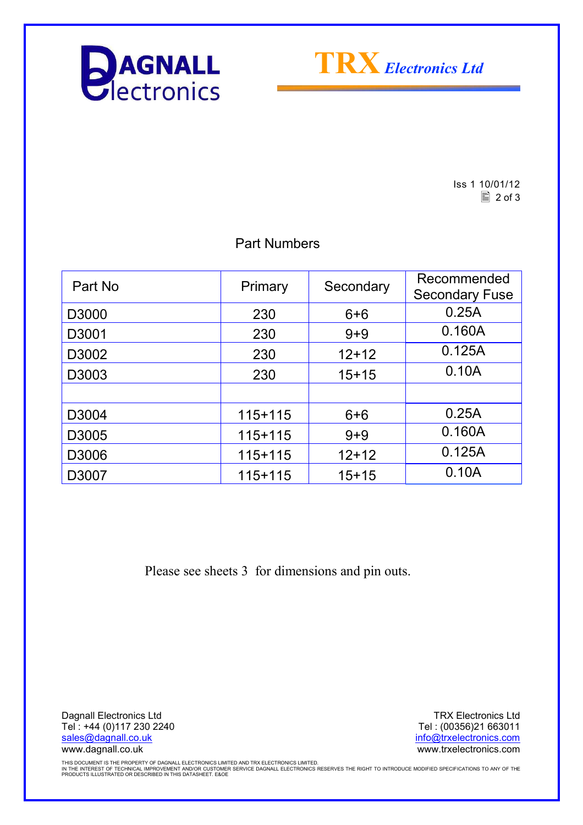



Iss 1 10/01/12  $\boxed{2}$  of 3

### Part Numbers

| Part No | Primary     | Secondary | Recommended<br><b>Secondary Fuse</b> |
|---------|-------------|-----------|--------------------------------------|
| D3000   | 230         | $6 + 6$   | 0.25A                                |
| D3001   | 230         | $9 + 9$   | 0.160A                               |
| D3002   | 230         | $12+12$   | 0.125A                               |
| D3003   | 230         | $15+15$   | 0.10A                                |
|         |             |           |                                      |
| D3004   | $115 + 115$ | $6 + 6$   | 0.25A                                |
| D3005   | $115+115$   | $9 + 9$   | 0.160A                               |
| D3006   | $115 + 115$ | $12+12$   | 0.125A                               |
| D3007   | $115+115$   | $15+15$   | 0.10A                                |

Please see sheets 3 for dimensions and pin outs.

Dagnall Electronics Ltd Tel : +44 (0)117 230 2240 sales@dagnall.co.uk www.dagnall.co.uk

TRX Electronics Ltd Tel : (00356)21 663011 info@trxelectronics.com www.trxelectronics.com

THIS DOCUMENT IS THE PROPERTY OF DAGNALL ELECTRONICS LIMITED AND TRX ELECTRONICS LIMITED.<br>IN THE INTEREST OF TECHNICAL IMPROVEMENT AND/OR CUSTOMER SERVICE DAGNALL ELECTRONICS RESERVES THE RIGHT TO INTRODUCE MODIFIED SPECIF